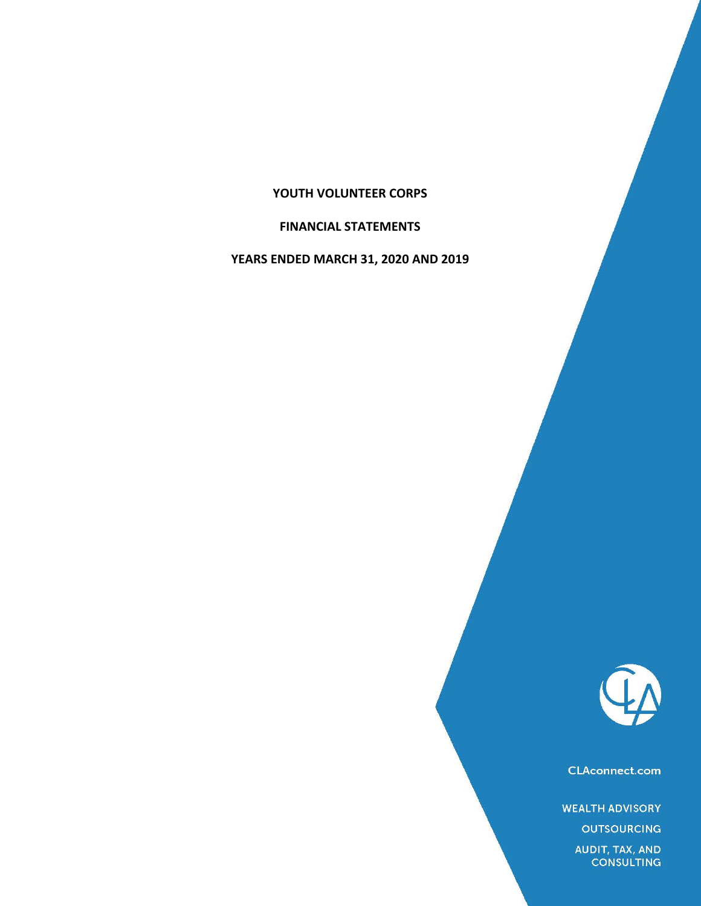# **YOUTH VOLUNTEER CORPS**

# **FINANCIAL STATEMENTS**

**YEARS ENDED MARCH 31, 2020 AND 2019**



**CLAconnect.com** 

**WEALTH ADVISORY** 

**OUTSOURCING** 

AUDIT, TAX, AND<br>CONSULTING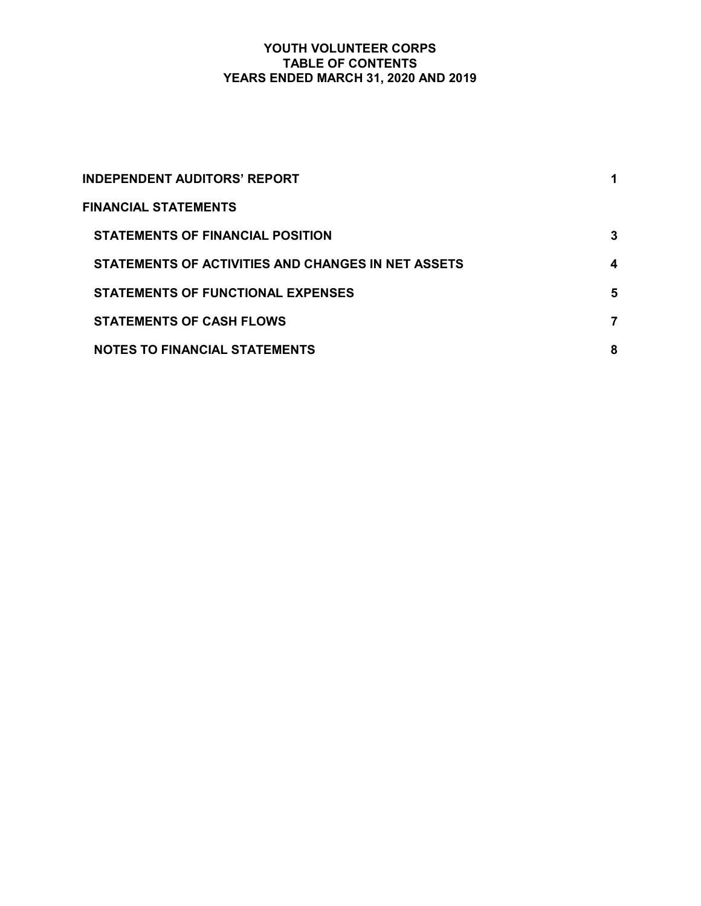# YOUTH VOLUNTEER CORPS TABLE OF CONTENTS YEARS ENDED MARCH 31, 2020 AND 2019

| <b>INDEPENDENT AUDITORS' REPORT</b>                |   |
|----------------------------------------------------|---|
| <b>FINANCIAL STATEMENTS</b>                        |   |
| <b>STATEMENTS OF FINANCIAL POSITION</b>            | 3 |
| STATEMENTS OF ACTIVITIES AND CHANGES IN NET ASSETS | 4 |
| <b>STATEMENTS OF FUNCTIONAL EXPENSES</b>           | 5 |
| <b>STATEMENTS OF CASH FLOWS</b>                    | 7 |
| <b>NOTES TO FINANCIAL STATEMENTS</b>               | 8 |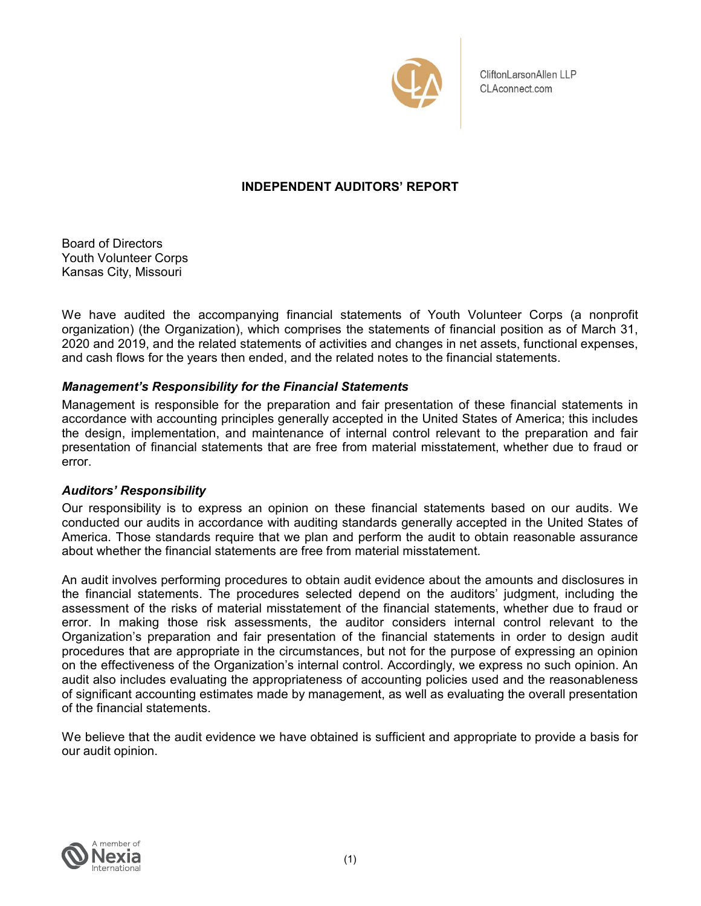

CliftonLarsonAllen LLP CLAconnect.com

# INDEPENDENT AUDITORS' REPORT

Board of Directors Youth Volunteer Corps Kansas City, Missouri

We have audited the accompanying financial statements of Youth Volunteer Corps (a nonprofit organization) (the Organization), which comprises the statements of financial position as of March 31, 2020 and 2019, and the related statements of activities and changes in net assets, functional expenses, and cash flows for the years then ended, and the related notes to the financial statements.

# Management's Responsibility for the Financial Statements

Management is responsible for the preparation and fair presentation of these financial statements in accordance with accounting principles generally accepted in the United States of America; this includes the design, implementation, and maintenance of internal control relevant to the preparation and fair presentation of financial statements that are free from material misstatement, whether due to fraud or error.

# Auditors' Responsibility

Our responsibility is to express an opinion on these financial statements based on our audits. We conducted our audits in accordance with auditing standards generally accepted in the United States of America. Those standards require that we plan and perform the audit to obtain reasonable assurance about whether the financial statements are free from material misstatement.

An audit involves performing procedures to obtain audit evidence about the amounts and disclosures in the financial statements. The procedures selected depend on the auditors' judgment, including the assessment of the risks of material misstatement of the financial statements, whether due to fraud or error. In making those risk assessments, the auditor considers internal control relevant to the Organization's preparation and fair presentation of the financial statements in order to design audit procedures that are appropriate in the circumstances, but not for the purpose of expressing an opinion on the effectiveness of the Organization's internal control. Accordingly, we express no such opinion. An audit also includes evaluating the appropriateness of accounting policies used and the reasonableness of significant accounting estimates made by management, as well as evaluating the overall presentation of the financial statements.

We believe that the audit evidence we have obtained is sufficient and appropriate to provide a basis for our audit opinion.

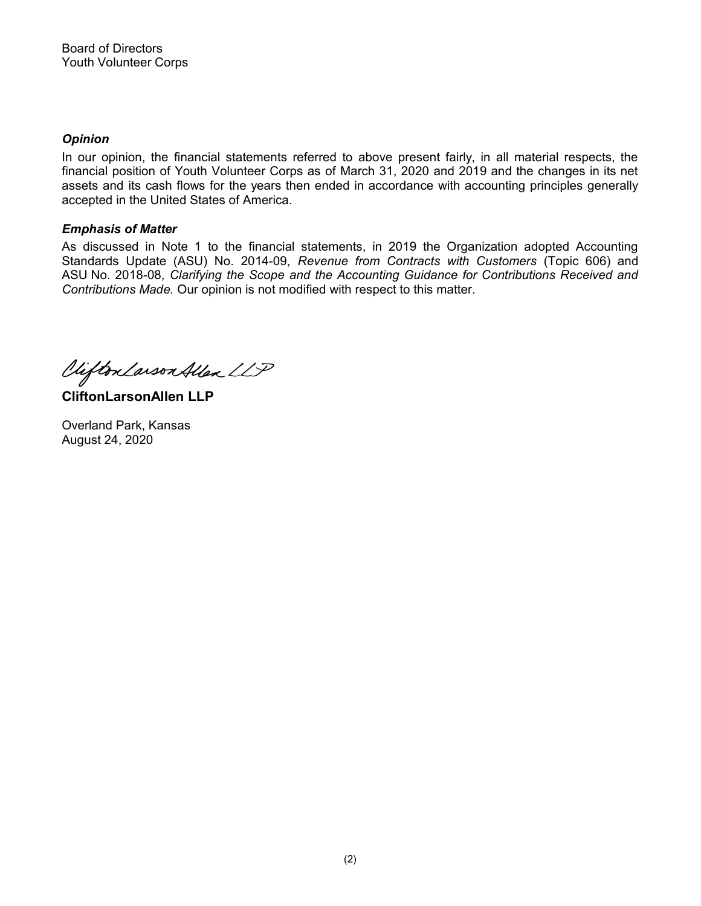# **Opinion**

In our opinion, the financial statements referred to above present fairly, in all material respects, the financial position of Youth Volunteer Corps as of March 31, 2020 and 2019 and the changes in its net assets and its cash flows for the years then ended in accordance with accounting principles generally accepted in the United States of America.

# Emphasis of Matter

As discussed in Note 1 to the financial statements, in 2019 the Organization adopted Accounting Standards Update (ASU) No. 2014-09, Revenue from Contracts with Customers (Topic 606) and ASU No. 2018-08, Clarifying the Scope and the Accounting Guidance for Contributions Received and Contributions Made. Our opinion is not modified with respect to this matter.

Viifton Larson Allen LLP

CliftonLarsonAllen LLP

Overland Park, Kansas August 24, 2020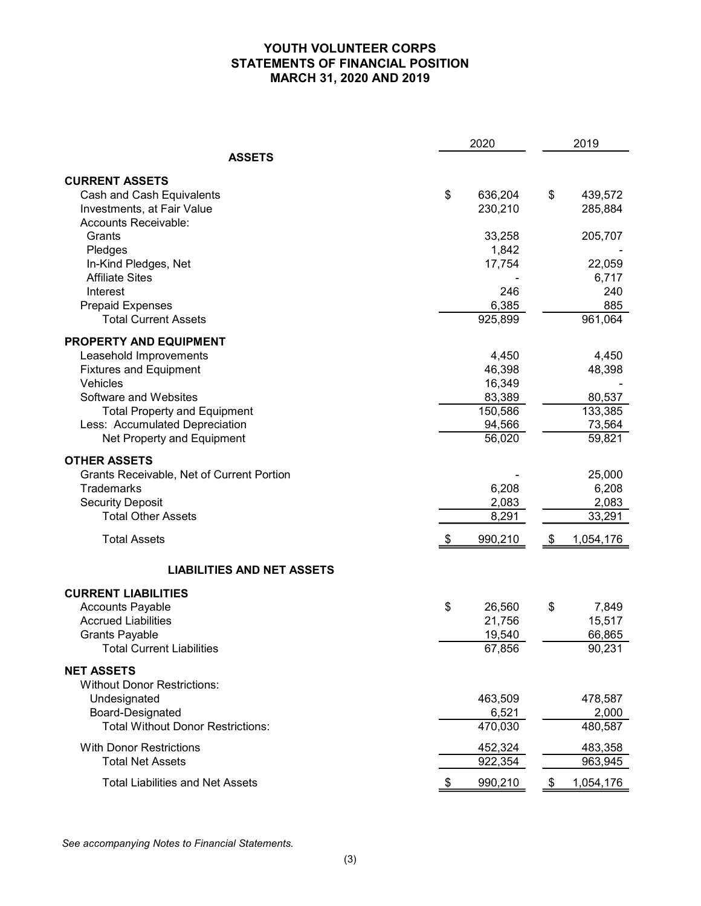# YOUTH VOLUNTEER CORPS STATEMENTS OF FINANCIAL POSITION MARCH 31, 2020 AND 2019

|                                                 | 2020           | 2019            |
|-------------------------------------------------|----------------|-----------------|
| <b>ASSETS</b>                                   |                |                 |
| <b>CURRENT ASSETS</b>                           |                |                 |
| Cash and Cash Equivalents                       | \$<br>636,204  | \$<br>439,572   |
| Investments, at Fair Value                      | 230,210        | 285,884         |
| Accounts Receivable:                            |                |                 |
| Grants                                          | 33,258         | 205,707         |
| Pledges                                         | 1,842          |                 |
| In-Kind Pledges, Net                            | 17,754         | 22,059          |
| <b>Affiliate Sites</b>                          |                | 6,717           |
| Interest                                        | 246            | 240             |
| <b>Prepaid Expenses</b>                         | 6,385          | 885             |
| <b>Total Current Assets</b>                     | 925,899        | 961,064         |
| PROPERTY AND EQUIPMENT                          |                |                 |
| Leasehold Improvements                          | 4,450          | 4,450           |
| <b>Fixtures and Equipment</b>                   | 46,398         | 48,398          |
| Vehicles                                        | 16,349         |                 |
| Software and Websites                           | 83,389         | 80,537          |
| <b>Total Property and Equipment</b>             | 150,586        | 133,385         |
| Less: Accumulated Depreciation                  | 94,566         | 73,564          |
| Net Property and Equipment                      | 56,020         | 59,821          |
| <b>OTHER ASSETS</b>                             |                |                 |
| Grants Receivable, Net of Current Portion       |                | 25,000          |
| <b>Trademarks</b>                               | 6,208          | 6,208           |
| <b>Security Deposit</b>                         |                | 2,083           |
| <b>Total Other Assets</b>                       | 2,083<br>8,291 | 33,291          |
|                                                 |                |                 |
| <b>Total Assets</b>                             | 990,210        | \$<br>1,054,176 |
| <b>LIABILITIES AND NET ASSETS</b>               |                |                 |
| <b>CURRENT LIABILITIES</b>                      |                |                 |
| <b>Accounts Payable</b>                         | \$<br>26,560   | \$<br>7,849     |
| <b>Accrued Liabilities</b>                      | 21,756         | 15,517          |
| <b>Grants Payable</b>                           | 19,540         | 66,865          |
| <b>Total Current Liabilities</b>                | 67,856         | 90,231          |
| <b>NET ASSETS</b>                               |                |                 |
| <b>Without Donor Restrictions:</b>              |                |                 |
| Undesignated                                    | 463,509        | 478,587         |
| Board-Designated                                | 6,521          | 2,000           |
| <b>Total Without Donor Restrictions:</b>        | 470,030        | 480,587         |
|                                                 |                |                 |
| <b>With Donor Restrictions</b>                  | 452,324        | 483,358         |
| <b>Total Net Assets</b>                         | 922,354        | 963,945         |
| <b>Total Liabilities and Net Assets</b>         | 990,210        | \$<br>1,054,176 |
|                                                 |                |                 |
|                                                 |                |                 |
|                                                 |                |                 |
| See accompanying Notes to Financial Statements. |                |                 |
|                                                 |                |                 |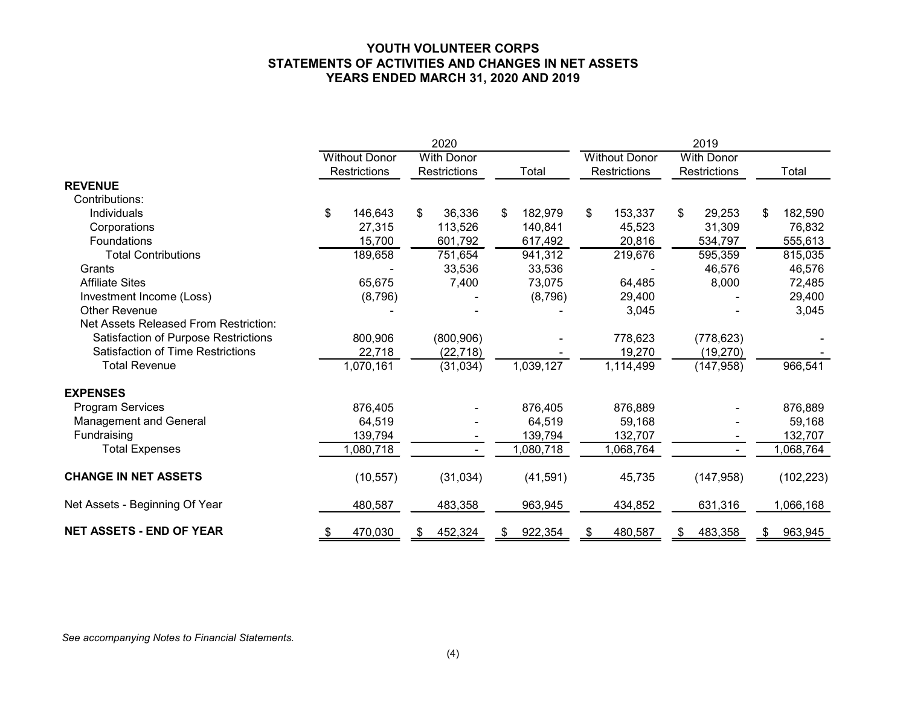# YOUTH VOLUNTEER CORPS STATEMENTS OF ACTIVITIES AND CHANGES IN NET ASSETS YEARS ENDED MARCH 31, 2020 AND 2019

|                                          |                      | 2020              |               |                      | 2019              |               |
|------------------------------------------|----------------------|-------------------|---------------|----------------------|-------------------|---------------|
|                                          | <b>Without Donor</b> | <b>With Donor</b> |               | <b>Without Donor</b> | <b>With Donor</b> |               |
|                                          | Restrictions         | Restrictions      | Total         | Restrictions         | Restrictions      | Total         |
| <b>REVENUE</b>                           |                      |                   |               |                      |                   |               |
| Contributions:                           |                      |                   |               |                      |                   |               |
| Individuals                              | 146,643<br>\$        | \$<br>36,336      | 182,979<br>\$ | 153,337<br>\$        | 29,253<br>\$      | 182,590<br>\$ |
| Corporations                             | 27,315               | 113,526           | 140,841       | 45,523               | 31,309            | 76,832        |
| Foundations                              | 15,700               | 601,792           | 617,492       | 20,816               | 534,797           | 555,613       |
| <b>Total Contributions</b>               | 189,658              | 751,654           | 941,312       | 219,676              | 595,359           | 815,035       |
| Grants                                   |                      | 33,536            | 33,536        |                      | 46,576            | 46,576        |
| <b>Affiliate Sites</b>                   | 65,675               | 7,400             | 73,075        | 64,485               | 8,000             | 72,485        |
| Investment Income (Loss)                 | (8,796)              |                   | (8,796)       | 29,400               |                   | 29,400        |
| <b>Other Revenue</b>                     |                      |                   |               | 3,045                |                   | 3,045         |
| Net Assets Released From Restriction:    |                      |                   |               |                      |                   |               |
| Satisfaction of Purpose Restrictions     | 800,906              | (800, 906)        |               | 778,623              | (778, 623)        |               |
| <b>Satisfaction of Time Restrictions</b> | 22,718               | (22, 718)         |               | 19,270               | (19, 270)         |               |
| <b>Total Revenue</b>                     | 1,070,161            | (31, 034)         | 1,039,127     | 1,114,499            | (147, 958)        | 966,541       |
| <b>EXPENSES</b>                          |                      |                   |               |                      |                   |               |
| Program Services                         | 876,405              |                   | 876,405       | 876,889              |                   | 876,889       |
| Management and General                   | 64,519               |                   | 64,519        | 59,168               |                   | 59,168        |
| Fundraising                              | 139,794              |                   | 139,794       | 132,707              |                   | 132,707       |
| <b>Total Expenses</b>                    | ,080,718             |                   | 1,080,718     | 1,068,764            | $\sim$            | 1,068,764     |
| <b>CHANGE IN NET ASSETS</b>              | (10, 557)            | (31, 034)         | (41, 591)     | 45,735               | (147, 958)        | (102, 223)    |
| Net Assets - Beginning Of Year           | 480,587              | 483,358           | 963,945       | 434,852              | 631,316           | 1,066,168     |
| <b>NET ASSETS - END OF YEAR</b>          | 470,030<br>- \$      | 452,324<br>S.     | 922,354<br>S. | 480,587              | 483,358<br>S.     | 963,945<br>S. |

#### See accompanying Notes to Financial Statements.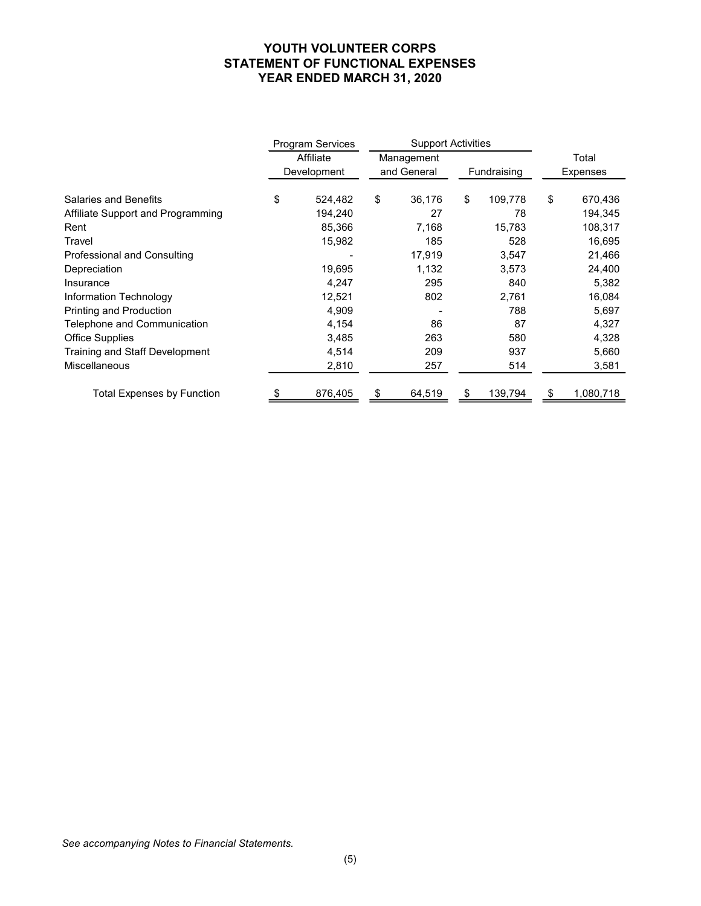# YOUTH VOLUNTEER CORPS STATEMENT OF FUNCTIONAL EXPENSES YEAR ENDED MARCH 31, 2020

|                                           | Program Services         |           | <b>Support Activities</b> |               |               |     |                    |
|-------------------------------------------|--------------------------|-----------|---------------------------|---------------|---------------|-----|--------------------|
|                                           | Affiliate<br>Development |           | Management<br>and General |               | Fundraising   |     | Total<br>Expenses  |
|                                           |                          |           |                           |               |               |     |                    |
| <b>Salaries and Benefits</b>              | \$<br>524,482<br>194,240 | \$        | 36,176<br>27              | \$            | 109,778<br>78 | \$  | 670,436<br>194,345 |
| Affiliate Support and Programming<br>Rent | 85,366                   |           | 7,168                     |               | 15,783        |     | 108,317            |
| Travel                                    | 15,982                   |           | 185                       |               | 528           |     | 16,695             |
| Professional and Consulting               | $\overline{\phantom{a}}$ |           | 17,919                    |               | 3,547         |     | 21,466             |
| Depreciation                              | 19,695                   |           | 1,132                     |               | 3,573         |     | 24,400             |
| Insurance                                 | 4,247                    |           | 295                       |               | 840           |     | 5,382              |
| Information Technology                    | 12,521                   |           | 802                       |               | 2,761         |     | 16,084             |
| Printing and Production                   | 4,909                    |           | $\overline{\phantom{a}}$  |               | 788           |     | 5,697              |
| Telephone and Communication               | 4,154                    |           | 86                        |               | 87            |     | 4,327              |
| <b>Office Supplies</b>                    | 3,485                    |           | 263                       |               | 580           |     | 4,328              |
| Training and Staff Development            | 4,514                    |           | 209                       |               | 937           |     | 5,660              |
| Miscellaneous                             | 2,810                    |           | 257                       |               | 514           |     | 3,581              |
|                                           | 876,405                  | <u>\$</u> | 64,519                    | $\frac{1}{2}$ | 139,794       | -\$ | 1,080,718          |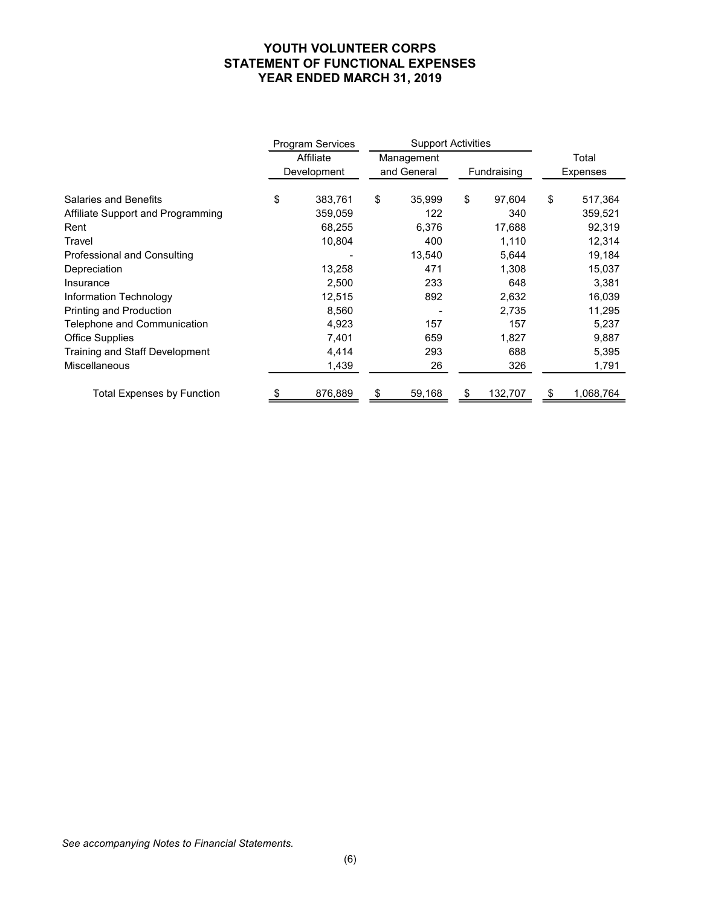# YOUTH VOLUNTEER CORPS STATEMENT OF FUNCTIONAL EXPENSES YEAR ENDED MARCH 31, 2019

|                                   | Program Services         |      | <b>Support Activities</b> |               |             |     |           |
|-----------------------------------|--------------------------|------|---------------------------|---------------|-------------|-----|-----------|
|                                   | Affiliate                |      | Management                |               |             |     | Total     |
|                                   | Development              |      | and General               |               | Fundraising |     | Expenses  |
| <b>Salaries and Benefits</b>      | \$<br>383,761            | \$   | 35,999                    | \$            | 97,604      | \$  | 517,364   |
| Affiliate Support and Programming | 359,059                  |      | 122                       |               | 340         |     | 359,521   |
| Rent                              | 68,255                   |      | 6,376                     |               | 17,688      |     | 92,319    |
| Travel                            | 10,804                   |      | 400                       |               | 1,110       |     | 12,314    |
| Professional and Consulting       | $\overline{\phantom{a}}$ |      | 13,540                    |               | 5,644       |     | 19,184    |
| Depreciation                      | 13,258                   |      | 471                       |               | 1,308       |     | 15,037    |
| Insurance                         | 2,500                    |      | 233                       |               | 648         |     | 3,381     |
| Information Technology            | 12,515                   |      | 892                       |               | 2,632       |     | 16,039    |
| Printing and Production           | 8,560                    |      | $\blacksquare$            |               | 2,735       |     | 11,295    |
| Telephone and Communication       | 4,923                    |      | 157                       |               | 157         |     | 5,237     |
| <b>Office Supplies</b>            | 7,401                    |      | 659                       |               | 1,827       |     | 9,887     |
| Training and Staff Development    | 4,414                    |      | 293                       |               | 688         |     | 5,395     |
| Miscellaneous                     | 1,439                    |      | 26                        |               | 326         |     | 1,791     |
|                                   | 876,889                  | - \$ | 59,168                    | $\frac{1}{2}$ | 132,707     | -\$ | 1,068,764 |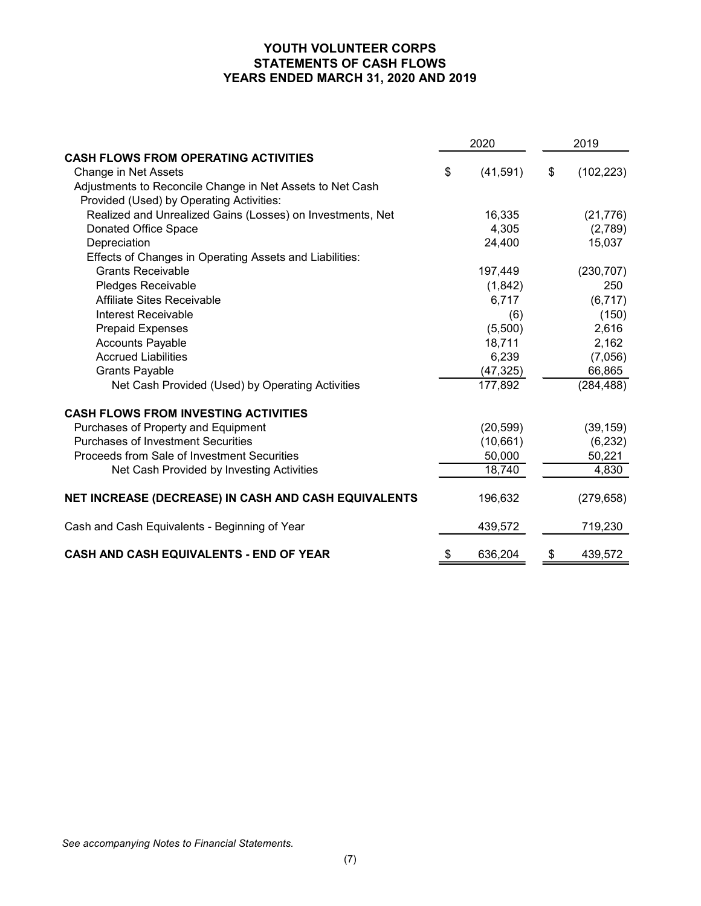# YOUTH VOLUNTEER CORPS STATEMENTS OF CASH FLOWS YEARS ENDED MARCH 31, 2020 AND 2019

|                                                                                                                               | YOUTH VOLUNTEER CORPS<br><b>STATEMENTS OF CASH FLOWS</b><br>YEARS ENDED MARCH 31, 2020 AND 2019 |           |    |            |
|-------------------------------------------------------------------------------------------------------------------------------|-------------------------------------------------------------------------------------------------|-----------|----|------------|
|                                                                                                                               |                                                                                                 | 2020      |    | 2019       |
| <b>CASH FLOWS FROM OPERATING ACTIVITIES</b>                                                                                   |                                                                                                 |           |    |            |
| Change in Net Assets<br>Adjustments to Reconcile Change in Net Assets to Net Cash<br>Provided (Used) by Operating Activities: | \$                                                                                              | (41, 591) | \$ | (102, 223) |
| Realized and Unrealized Gains (Losses) on Investments, Net                                                                    |                                                                                                 | 16,335    |    | (21, 776)  |
| Donated Office Space                                                                                                          |                                                                                                 | 4,305     |    | (2,789)    |
| Depreciation                                                                                                                  |                                                                                                 | 24,400    |    | 15,037     |
| Effects of Changes in Operating Assets and Liabilities:                                                                       |                                                                                                 |           |    |            |
| <b>Grants Receivable</b>                                                                                                      |                                                                                                 | 197,449   |    | (230, 707) |
| Pledges Receivable                                                                                                            |                                                                                                 | (1,842)   |    | 250        |
| Affiliate Sites Receivable                                                                                                    |                                                                                                 | 6,717     |    | (6, 717)   |
| <b>Interest Receivable</b>                                                                                                    |                                                                                                 | (6)       |    | (150)      |
| <b>Prepaid Expenses</b>                                                                                                       |                                                                                                 | (5,500)   |    | 2,616      |
| <b>Accounts Payable</b>                                                                                                       |                                                                                                 | 18,711    |    | 2,162      |
| <b>Accrued Liabilities</b>                                                                                                    |                                                                                                 | 6,239     |    | (7,056)    |
| <b>Grants Payable</b>                                                                                                         |                                                                                                 | (47, 325) |    | 66,865     |
| Net Cash Provided (Used) by Operating Activities                                                                              |                                                                                                 | 177,892   |    | (284, 488) |
| <b>CASH FLOWS FROM INVESTING ACTIVITIES</b>                                                                                   |                                                                                                 |           |    |            |
| Purchases of Property and Equipment                                                                                           |                                                                                                 | (20, 599) |    | (39, 159)  |
| <b>Purchases of Investment Securities</b>                                                                                     |                                                                                                 | (10,661)  |    | (6, 232)   |
| Proceeds from Sale of Investment Securities                                                                                   |                                                                                                 | 50,000    |    | 50,221     |
| Net Cash Provided by Investing Activities                                                                                     |                                                                                                 | 18,740    |    | 4,830      |
| NET INCREASE (DECREASE) IN CASH AND CASH EQUIVALENTS                                                                          |                                                                                                 | 196,632   |    | (279, 658) |
| Cash and Cash Equivalents - Beginning of Year                                                                                 |                                                                                                 | 439,572   |    | 719,230    |
| CASH AND CASH EQUIVALENTS - END OF YEAR                                                                                       |                                                                                                 | 636,204   | P. | 439,572    |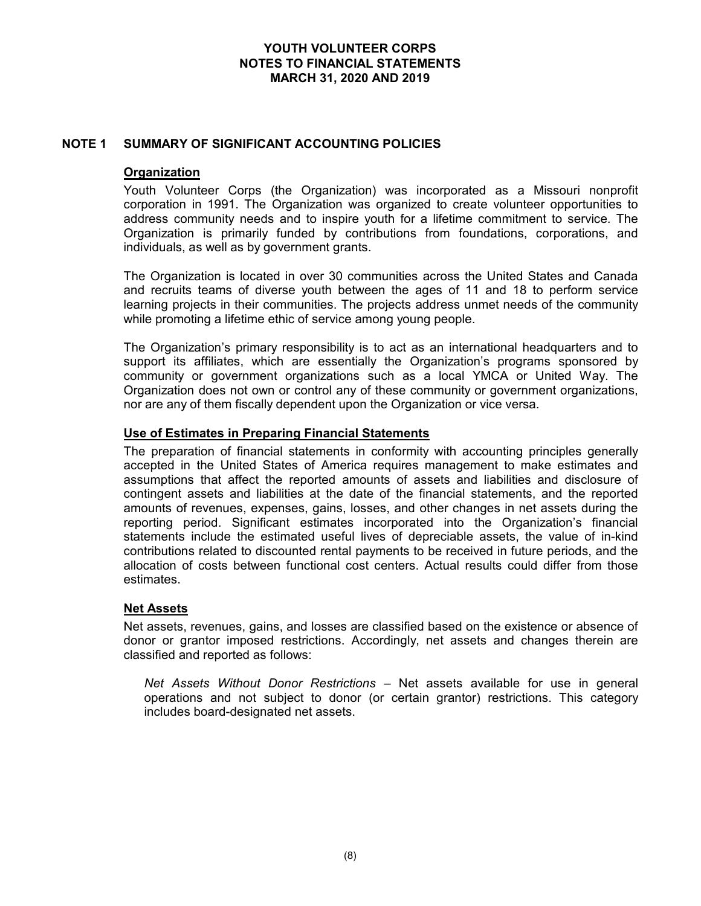# NOTE 1 SUMMARY OF SIGNIFICANT ACCOUNTING POLICIES

### **Organization**

Youth Volunteer Corps (the Organization) was incorporated as a Missouri nonprofit corporation in 1991. The Organization was organized to create volunteer opportunities to address community needs and to inspire youth for a lifetime commitment to service. The Organization is primarily funded by contributions from foundations, corporations, and individuals, as well as by government grants.

The Organization is located in over 30 communities across the United States and Canada and recruits teams of diverse youth between the ages of 11 and 18 to perform service learning projects in their communities. The projects address unmet needs of the community while promoting a lifetime ethic of service among young people.

The Organization's primary responsibility is to act as an international headquarters and to support its affiliates, which are essentially the Organization's programs sponsored by community or government organizations such as a local YMCA or United Way. The Organization does not own or control any of these community or government organizations, nor are any of them fiscally dependent upon the Organization or vice versa.

# Use of Estimates in Preparing Financial Statements

The preparation of financial statements in conformity with accounting principles generally accepted in the United States of America requires management to make estimates and assumptions that affect the reported amounts of assets and liabilities and disclosure of contingent assets and liabilities at the date of the financial statements, and the reported amounts of revenues, expenses, gains, losses, and other changes in net assets during the reporting period. Significant estimates incorporated into the Organization's financial statements include the estimated useful lives of depreciable assets, the value of in-kind contributions related to discounted rental payments to be received in future periods, and the allocation of costs between functional cost centers. Actual results could differ from those estimates.

#### Net Assets

Net assets, revenues, gains, and losses are classified based on the existence or absence of donor or grantor imposed restrictions. Accordingly, net assets and changes therein are classified and reported as follows:

Net Assets Without Donor Restrictions – Net assets available for use in general operations and not subject to donor (or certain grantor) restrictions. This category includes board-designated net assets.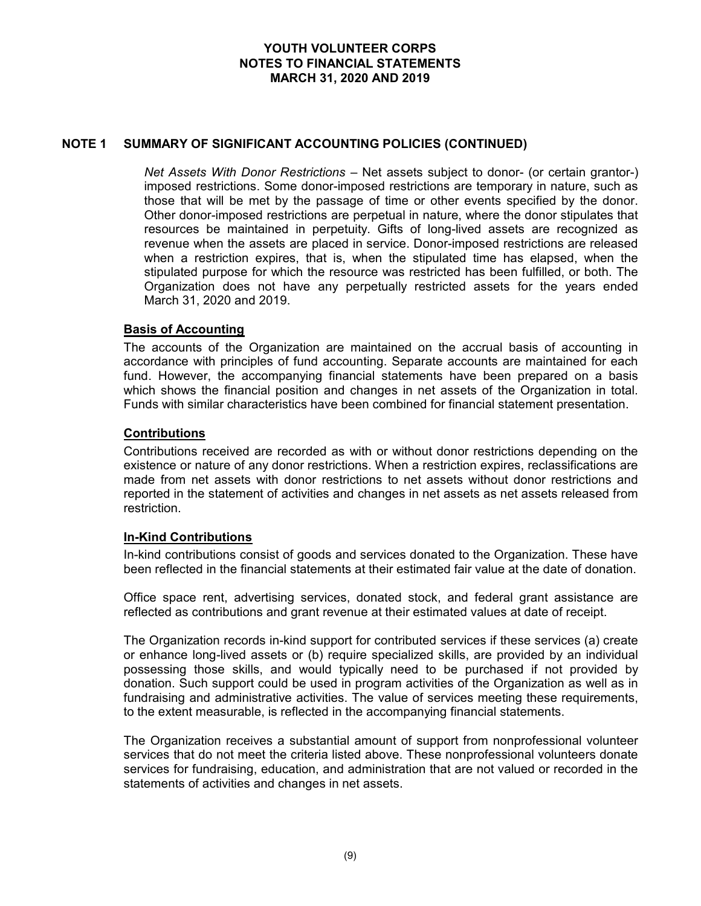# NOTE 1 SUMMARY OF SIGNIFICANT ACCOUNTING POLICIES (CONTINUED)

Net Assets With Donor Restrictions – Net assets subject to donor- (or certain grantor-) imposed restrictions. Some donor-imposed restrictions are temporary in nature, such as those that will be met by the passage of time or other events specified by the donor. Other donor-imposed restrictions are perpetual in nature, where the donor stipulates that resources be maintained in perpetuity. Gifts of long-lived assets are recognized as revenue when the assets are placed in service. Donor-imposed restrictions are released when a restriction expires, that is, when the stipulated time has elapsed, when the stipulated purpose for which the resource was restricted has been fulfilled, or both. The Organization does not have any perpetually restricted assets for the years ended March 31, 2020 and 2019.

#### Basis of Accounting

The accounts of the Organization are maintained on the accrual basis of accounting in accordance with principles of fund accounting. Separate accounts are maintained for each fund. However, the accompanying financial statements have been prepared on a basis which shows the financial position and changes in net assets of the Organization in total. Funds with similar characteristics have been combined for financial statement presentation.

# **Contributions**

Contributions received are recorded as with or without donor restrictions depending on the existence or nature of any donor restrictions. When a restriction expires, reclassifications are made from net assets with donor restrictions to net assets without donor restrictions and reported in the statement of activities and changes in net assets as net assets released from restriction.

# In-Kind Contributions

In-kind contributions consist of goods and services donated to the Organization. These have been reflected in the financial statements at their estimated fair value at the date of donation.

Office space rent, advertising services, donated stock, and federal grant assistance are reflected as contributions and grant revenue at their estimated values at date of receipt.

The Organization records in-kind support for contributed services if these services (a) create or enhance long-lived assets or (b) require specialized skills, are provided by an individual possessing those skills, and would typically need to be purchased if not provided by donation. Such support could be used in program activities of the Organization as well as in fundraising and administrative activities. The value of services meeting these requirements, to the extent measurable, is reflected in the accompanying financial statements.

The Organization receives a substantial amount of support from nonprofessional volunteer services that do not meet the criteria listed above. These nonprofessional volunteers donate services for fundraising, education, and administration that are not valued or recorded in the statements of activities and changes in net assets.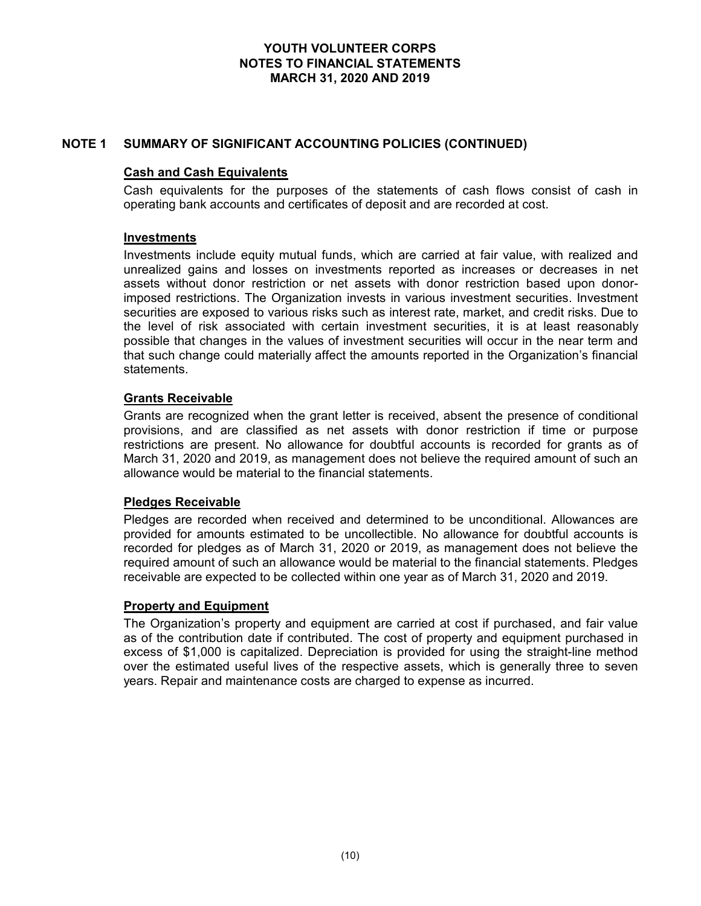# NOTE 1 SUMMARY OF SIGNIFICANT ACCOUNTING POLICIES (CONTINUED)

# Cash and Cash Equivalents

Cash equivalents for the purposes of the statements of cash flows consist of cash in operating bank accounts and certificates of deposit and are recorded at cost.

#### Investments

Investments include equity mutual funds, which are carried at fair value, with realized and unrealized gains and losses on investments reported as increases or decreases in net assets without donor restriction or net assets with donor restriction based upon donorimposed restrictions. The Organization invests in various investment securities. Investment securities are exposed to various risks such as interest rate, market, and credit risks. Due to the level of risk associated with certain investment securities, it is at least reasonably possible that changes in the values of investment securities will occur in the near term and that such change could materially affect the amounts reported in the Organization's financial statements.

# Grants Receivable

Grants are recognized when the grant letter is received, absent the presence of conditional provisions, and are classified as net assets with donor restriction if time or purpose restrictions are present. No allowance for doubtful accounts is recorded for grants as of March 31, 2020 and 2019, as management does not believe the required amount of such an allowance would be material to the financial statements.

#### Pledges Receivable

Pledges are recorded when received and determined to be unconditional. Allowances are provided for amounts estimated to be uncollectible. No allowance for doubtful accounts is recorded for pledges as of March 31, 2020 or 2019, as management does not believe the required amount of such an allowance would be material to the financial statements. Pledges receivable are expected to be collected within one year as of March 31, 2020 and 2019.

#### Property and Equipment

The Organization's property and equipment are carried at cost if purchased, and fair value as of the contribution date if contributed. The cost of property and equipment purchased in excess of \$1,000 is capitalized. Depreciation is provided for using the straight-line method over the estimated useful lives of the respective assets, which is generally three to seven years. Repair and maintenance costs are charged to expense as incurred.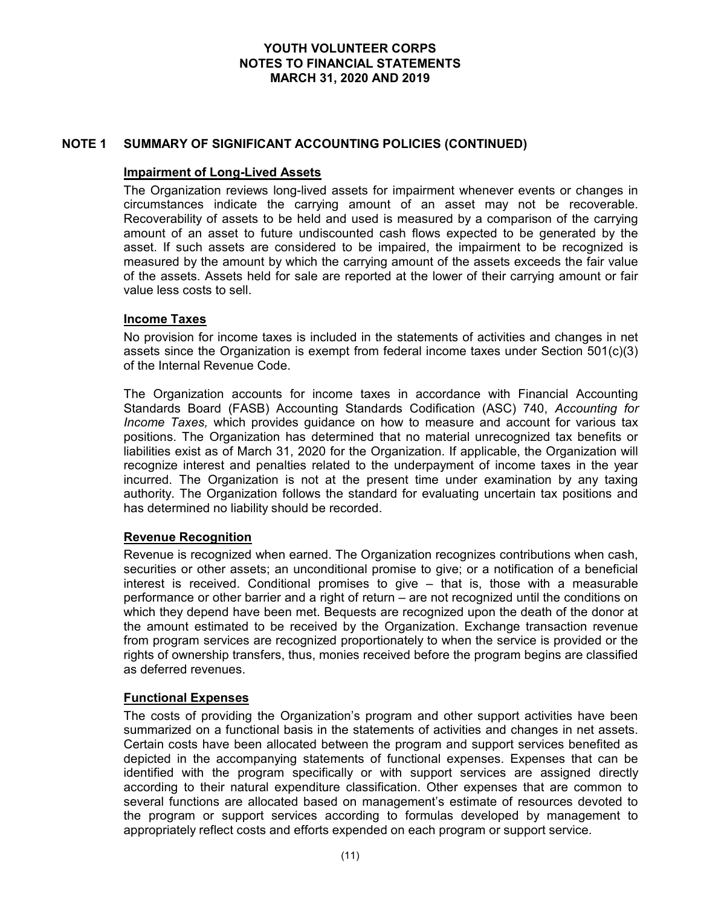# NOTE 1 SUMMARY OF SIGNIFICANT ACCOUNTING POLICIES (CONTINUED)

### Impairment of Long-Lived Assets

The Organization reviews long-lived assets for impairment whenever events or changes in circumstances indicate the carrying amount of an asset may not be recoverable. Recoverability of assets to be held and used is measured by a comparison of the carrying amount of an asset to future undiscounted cash flows expected to be generated by the asset. If such assets are considered to be impaired, the impairment to be recognized is measured by the amount by which the carrying amount of the assets exceeds the fair value of the assets. Assets held for sale are reported at the lower of their carrying amount or fair value less costs to sell.

# Income Taxes

No provision for income taxes is included in the statements of activities and changes in net assets since the Organization is exempt from federal income taxes under Section 501(c)(3) of the Internal Revenue Code.

The Organization accounts for income taxes in accordance with Financial Accounting Standards Board (FASB) Accounting Standards Codification (ASC) 740, Accounting for Income Taxes, which provides guidance on how to measure and account for various tax positions. The Organization has determined that no material unrecognized tax benefits or liabilities exist as of March 31, 2020 for the Organization. If applicable, the Organization will recognize interest and penalties related to the underpayment of income taxes in the year incurred. The Organization is not at the present time under examination by any taxing authority. The Organization follows the standard for evaluating uncertain tax positions and has determined no liability should be recorded.

# Revenue Recognition

Revenue is recognized when earned. The Organization recognizes contributions when cash, securities or other assets; an unconditional promise to give; or a notification of a beneficial interest is received. Conditional promises to give – that is, those with a measurable performance or other barrier and a right of return – are not recognized until the conditions on which they depend have been met. Bequests are recognized upon the death of the donor at the amount estimated to be received by the Organization. Exchange transaction revenue from program services are recognized proportionately to when the service is provided or the rights of ownership transfers, thus, monies received before the program begins are classified as deferred revenues.

# Functional Expenses

The costs of providing the Organization's program and other support activities have been summarized on a functional basis in the statements of activities and changes in net assets. Certain costs have been allocated between the program and support services benefited as depicted in the accompanying statements of functional expenses. Expenses that can be identified with the program specifically or with support services are assigned directly according to their natural expenditure classification. Other expenses that are common to several functions are allocated based on management's estimate of resources devoted to the program or support services according to formulas developed by management to appropriately reflect costs and efforts expended on each program or support service.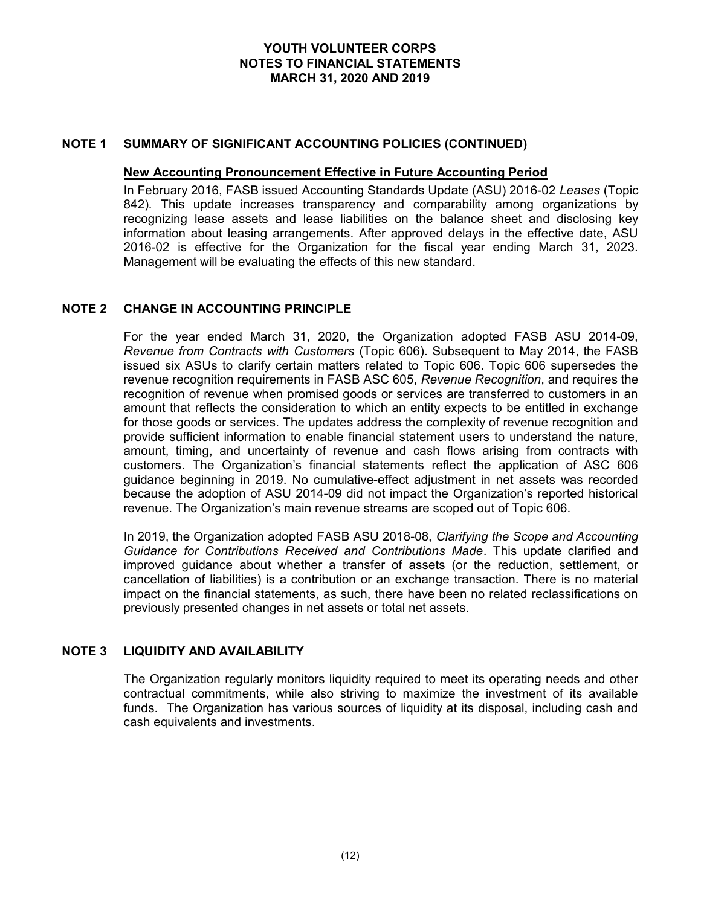### NOTE 1 SUMMARY OF SIGNIFICANT ACCOUNTING POLICIES (CONTINUED)

#### New Accounting Pronouncement Effective in Future Accounting Period

In February 2016, FASB issued Accounting Standards Update (ASU) 2016-02 Leases (Topic 842). This update increases transparency and comparability among organizations by recognizing lease assets and lease liabilities on the balance sheet and disclosing key information about leasing arrangements. After approved delays in the effective date, ASU 2016-02 is effective for the Organization for the fiscal year ending March 31, 2023. Management will be evaluating the effects of this new standard.

# NOTE 2 CHANGE IN ACCOUNTING PRINCIPLE

For the year ended March 31, 2020, the Organization adopted FASB ASU 2014-09, Revenue from Contracts with Customers (Topic 606). Subsequent to May 2014, the FASB issued six ASUs to clarify certain matters related to Topic 606. Topic 606 supersedes the revenue recognition requirements in FASB ASC 605, Revenue Recognition, and requires the recognition of revenue when promised goods or services are transferred to customers in an amount that reflects the consideration to which an entity expects to be entitled in exchange for those goods or services. The updates address the complexity of revenue recognition and provide sufficient information to enable financial statement users to understand the nature, amount, timing, and uncertainty of revenue and cash flows arising from contracts with customers. The Organization's financial statements reflect the application of ASC 606 guidance beginning in 2019. No cumulative-effect adjustment in net assets was recorded because the adoption of ASU 2014-09 did not impact the Organization's reported historical revenue. The Organization's main revenue streams are scoped out of Topic 606.

In 2019, the Organization adopted FASB ASU 2018-08, Clarifying the Scope and Accounting Guidance for Contributions Received and Contributions Made. This update clarified and improved guidance about whether a transfer of assets (or the reduction, settlement, or cancellation of liabilities) is a contribution or an exchange transaction. There is no material impact on the financial statements, as such, there have been no related reclassifications on previously presented changes in net assets or total net assets.

# NOTE 3 LIQUIDITY AND AVAILABILITY

The Organization regularly monitors liquidity required to meet its operating needs and other contractual commitments, while also striving to maximize the investment of its available funds. The Organization has various sources of liquidity at its disposal, including cash and cash equivalents and investments.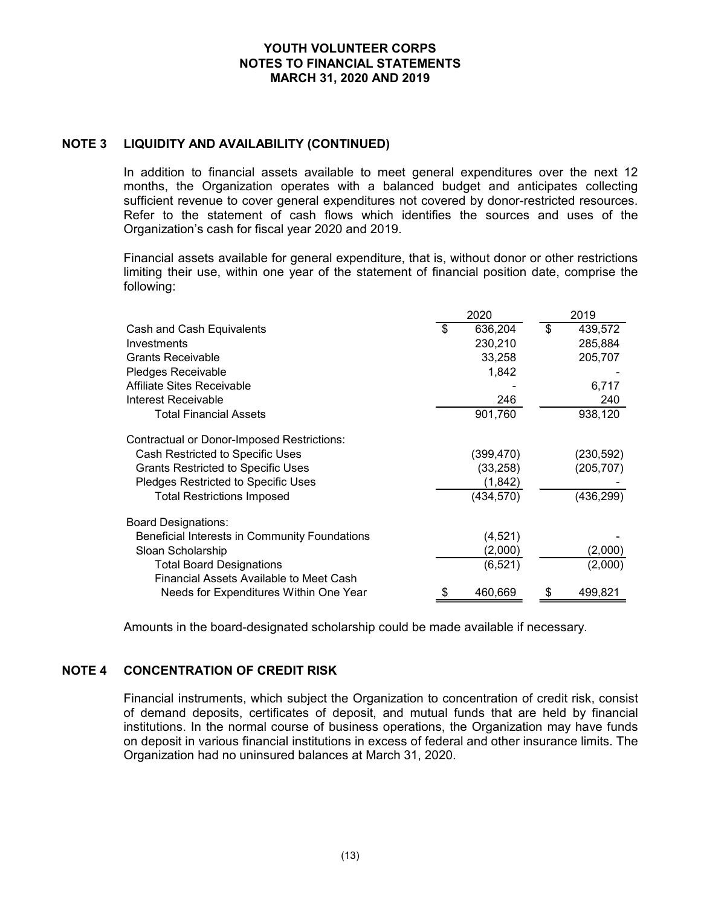# NOTE 3 LIQUIDITY AND AVAILABILITY (CONTINUED)

| YOUTH VOLUNTEER CORPS<br><b>NOTES TO FINANCIAL STATEMENTS</b><br><b>MARCH 31, 2020 AND 2019</b>                                                                                                                                                                                                                                                                                                                                                                                                                              |     |                         |                |                |
|------------------------------------------------------------------------------------------------------------------------------------------------------------------------------------------------------------------------------------------------------------------------------------------------------------------------------------------------------------------------------------------------------------------------------------------------------------------------------------------------------------------------------|-----|-------------------------|----------------|----------------|
| LIQUIDITY AND AVAILABILITY (CONTINUED)                                                                                                                                                                                                                                                                                                                                                                                                                                                                                       |     |                         |                |                |
| In addition to financial assets available to meet general expenditures over the next 12<br>months, the Organization operates with a balanced budget and anticipates collecting<br>sufficient revenue to cover general expenditures not covered by donor-restricted resources.<br>Refer to the statement of cash flows which identifies the sources and uses of the<br>Organization's cash for fiscal year 2020 and 2019.<br>Financial assets available for general expenditure, that is, without donor or other restrictions |     |                         |                |                |
| limiting their use, within one year of the statement of financial position date, comprise the<br>following:                                                                                                                                                                                                                                                                                                                                                                                                                  |     | 2020                    |                | 2019           |
|                                                                                                                                                                                                                                                                                                                                                                                                                                                                                                                              |     |                         |                |                |
|                                                                                                                                                                                                                                                                                                                                                                                                                                                                                                                              |     |                         |                |                |
|                                                                                                                                                                                                                                                                                                                                                                                                                                                                                                                              | \$. | 636,204                 | $\mathfrak{L}$ | 439,572        |
| Cash and Cash Equivalents<br>Investments                                                                                                                                                                                                                                                                                                                                                                                                                                                                                     |     | 230,210                 |                | 285,884        |
| <b>Grants Receivable</b>                                                                                                                                                                                                                                                                                                                                                                                                                                                                                                     |     | 33,258                  |                | 205,707        |
| Pledges Receivable<br>Affiliate Sites Receivable                                                                                                                                                                                                                                                                                                                                                                                                                                                                             |     | 1,842                   |                |                |
| <b>Interest Receivable</b>                                                                                                                                                                                                                                                                                                                                                                                                                                                                                                   |     |                         |                | 6,717          |
| <b>Total Financial Assets</b>                                                                                                                                                                                                                                                                                                                                                                                                                                                                                                |     | 246<br>901,760          |                | 240<br>938,120 |
|                                                                                                                                                                                                                                                                                                                                                                                                                                                                                                                              |     |                         |                |                |
| <b>Contractual or Donor-Imposed Restrictions:</b>                                                                                                                                                                                                                                                                                                                                                                                                                                                                            |     |                         |                | (230, 592)     |
| Cash Restricted to Specific Uses<br><b>Grants Restricted to Specific Uses</b>                                                                                                                                                                                                                                                                                                                                                                                                                                                |     | (399, 470)<br>(33, 258) |                | (205, 707)     |
| Pledges Restricted to Specific Uses                                                                                                                                                                                                                                                                                                                                                                                                                                                                                          |     | (1, 842)                |                |                |
| <b>Total Restrictions Imposed</b>                                                                                                                                                                                                                                                                                                                                                                                                                                                                                            |     | (434, 570)              |                | (436, 299)     |
| <b>Board Designations:</b>                                                                                                                                                                                                                                                                                                                                                                                                                                                                                                   |     |                         |                |                |
| Beneficial Interests in Community Foundations                                                                                                                                                                                                                                                                                                                                                                                                                                                                                |     | (4, 521)                |                |                |
| Sloan Scholarship                                                                                                                                                                                                                                                                                                                                                                                                                                                                                                            |     | (2,000)                 |                | (2,000)        |
| <b>Total Board Designations</b>                                                                                                                                                                                                                                                                                                                                                                                                                                                                                              |     | (6, 521)                |                | (2,000)        |
| Financial Assets Available to Meet Cash<br>Needs for Expenditures Within One Year                                                                                                                                                                                                                                                                                                                                                                                                                                            |     | 460,669                 |                | 499,821        |

# NOTE 4 CONCENTRATION OF CREDIT RISK

Financial instruments, which subject the Organization to concentration of credit risk, consist of demand deposits, certificates of deposit, and mutual funds that are held by financial institutions. In the normal course of business operations, the Organization may have funds on deposit in various financial institutions in excess of federal and other insurance limits. The Organization had no uninsured balances at March 31, 2020.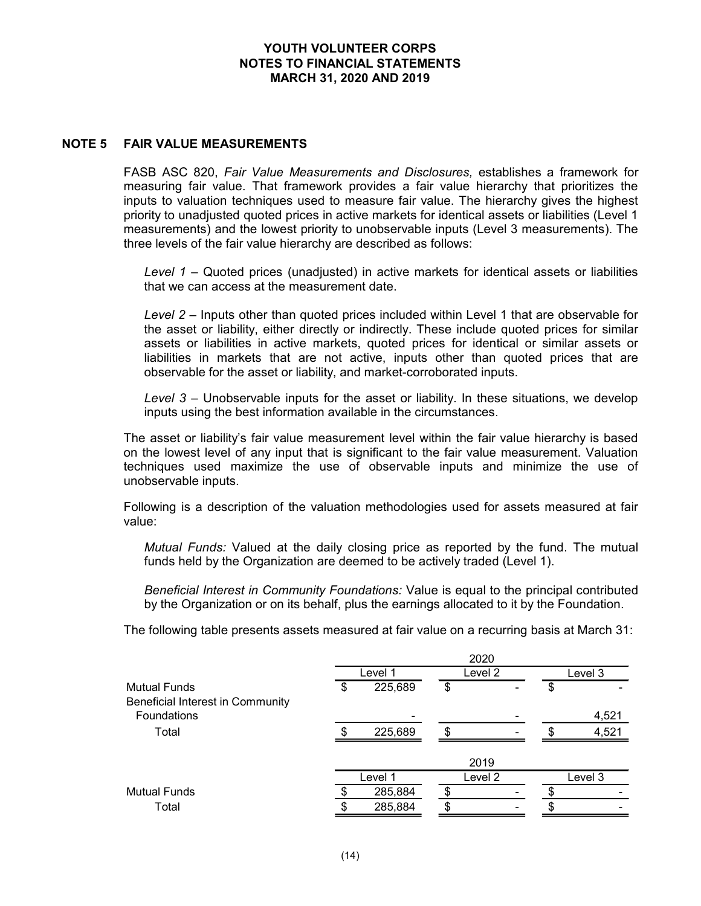### NOTE 5 FAIR VALUE MEASUREMENTS

FASB ASC 820, Fair Value Measurements and Disclosures, establishes a framework for measuring fair value. That framework provides a fair value hierarchy that prioritizes the inputs to valuation techniques used to measure fair value. The hierarchy gives the highest priority to unadjusted quoted prices in active markets for identical assets or liabilities (Level 1 measurements) and the lowest priority to unobservable inputs (Level 3 measurements). The three levels of the fair value hierarchy are described as follows:

Level  $1$  – Quoted prices (unadjusted) in active markets for identical assets or liabilities that we can access at the measurement date.

Level 2 – Inputs other than quoted prices included within Level 1 that are observable for the asset or liability, either directly or indirectly. These include quoted prices for similar assets or liabilities in active markets, quoted prices for identical or similar assets or liabilities in markets that are not active, inputs other than quoted prices that are observable for the asset or liability, and market-corroborated inputs.

| Level 3 – Unobservable inputs for the asset or liability. In these situations, we develop<br>inputs using the best information available in the circumstances.                                                                                                                                           |      |         |               |                    |               |         |  |
|----------------------------------------------------------------------------------------------------------------------------------------------------------------------------------------------------------------------------------------------------------------------------------------------------------|------|---------|---------------|--------------------|---------------|---------|--|
| The asset or liability's fair value measurement level within the fair value hierarchy is based<br>on the lowest level of any input that is significant to the fair value measurement. Valuation<br>techniques used maximize the use of observable inputs and minimize the use of<br>unobservable inputs. |      |         |               |                    |               |         |  |
| Following is a description of the valuation methodologies used for assets measured at fair<br>value:                                                                                                                                                                                                     |      |         |               |                    |               |         |  |
| Mutual Funds: Valued at the daily closing price as reported by the fund. The mutual<br>funds held by the Organization are deemed to be actively traded (Level 1).                                                                                                                                        |      |         |               |                    |               |         |  |
| Beneficial Interest in Community Foundations: Value is equal to the principal contributed<br>by the Organization or on its behalf, plus the earnings allocated to it by the Foundation.                                                                                                                  |      |         |               |                    |               |         |  |
| The following table presents assets measured at fair value on a recurring basis at March 31:                                                                                                                                                                                                             |      |         |               |                    |               |         |  |
|                                                                                                                                                                                                                                                                                                          |      | Level 1 |               | 2020<br>Level 2    |               | Level 3 |  |
| <b>Mutual Funds</b><br>Beneficial Interest in Community                                                                                                                                                                                                                                                  | \$   | 225,689 | \$            |                    | \$            |         |  |
| Foundations                                                                                                                                                                                                                                                                                              |      |         |               |                    |               | 4,521   |  |
| Total                                                                                                                                                                                                                                                                                                    | \$   | 225,689 | \$            |                    |               | 4,521   |  |
|                                                                                                                                                                                                                                                                                                          |      |         |               | 2019               |               |         |  |
|                                                                                                                                                                                                                                                                                                          |      | Level 1 |               | Level <sub>2</sub> |               | Level 3 |  |
| <b>Mutual Funds</b>                                                                                                                                                                                                                                                                                      | \$   | 285,884 | $\frac{1}{2}$ |                    | $\frac{1}{2}$ |         |  |
| Total                                                                                                                                                                                                                                                                                                    | \$   | 285,884 | \$            |                    | \$            |         |  |
|                                                                                                                                                                                                                                                                                                          |      |         |               |                    |               |         |  |
|                                                                                                                                                                                                                                                                                                          | (14) |         |               |                    |               |         |  |
|                                                                                                                                                                                                                                                                                                          |      |         |               |                    |               |         |  |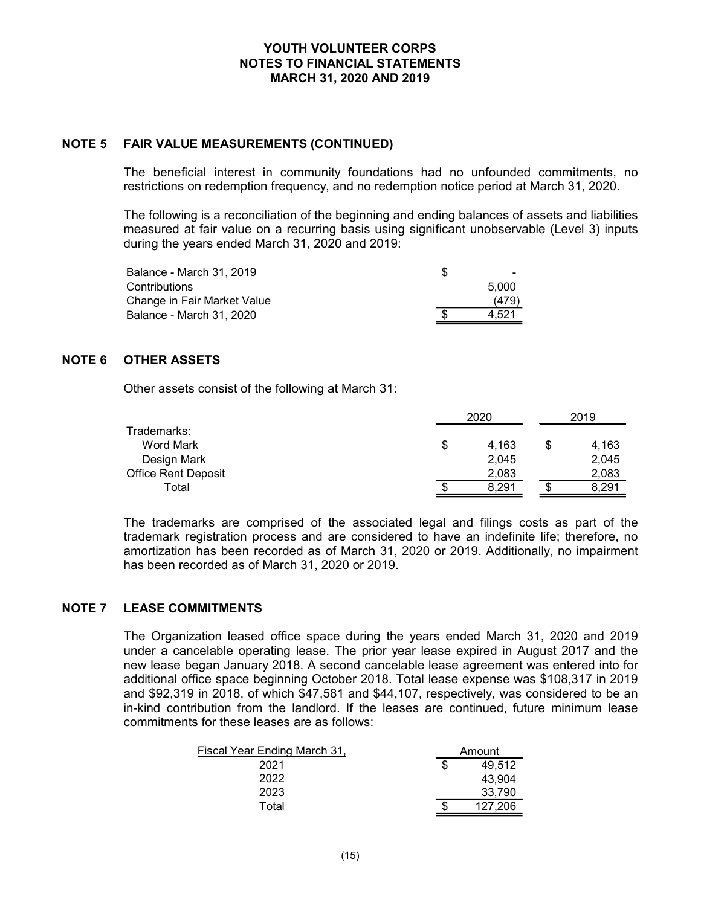# NOTE 5 FAIR VALUE MEASUREMENTS (CONTINUED)

| YOUTH VOLUNTEER CORPS<br><b>NOTES TO FINANCIAL STATEMENTS</b><br><b>MARCH 31, 2020 AND 2019</b>                                                                                                                                                    |                |
|----------------------------------------------------------------------------------------------------------------------------------------------------------------------------------------------------------------------------------------------------|----------------|
| FAIR VALUE MEASUREMENTS (CONTINUED)                                                                                                                                                                                                                |                |
| The beneficial interest in community foundations had no unfounded commitments, no<br>estrictions on redemption frequency, and no redemption notice period at March 31, 2020.                                                                       |                |
| The following is a reconciliation of the beginning and ending balances of assets and liabilities<br>measured at fair value on a recurring basis using significant unobservable (Level 3) inputs<br>during the years ended March 31, 2020 and 2019: |                |
| Balance - March 31, 2019                                                                                                                                                                                                                           | \$             |
| Contributions<br>Change in Fair Market Value                                                                                                                                                                                                       | 5,000<br>(479) |
| Balance - March 31, 2020                                                                                                                                                                                                                           | 4,521          |
| <b>OTHER ASSETS</b>                                                                                                                                                                                                                                |                |

# NOTE 6 OTHER ASSETS

| FAIR VALUE MEASUREMENTS (CONTINUED)                                                                                                                                                                                                                |                               |                               |
|----------------------------------------------------------------------------------------------------------------------------------------------------------------------------------------------------------------------------------------------------|-------------------------------|-------------------------------|
| The beneficial interest in community foundations had no unfounded commitments, no<br>estrictions on redemption frequency, and no redemption notice period at March 31, 2020.                                                                       |                               |                               |
| The following is a reconciliation of the beginning and ending balances of assets and liabilities<br>measured at fair value on a recurring basis using significant unobservable (Level 3) inputs<br>during the years ended March 31, 2020 and 2019: |                               |                               |
| Balance - March 31, 2019<br>Contributions<br>Change in Fair Market Value<br>Balance - March 31, 2020                                                                                                                                               | \$<br>5,000<br>(479)<br>4,521 |                               |
| <b>OTHER ASSETS</b>                                                                                                                                                                                                                                |                               |                               |
| Other assets consist of the following at March 31:                                                                                                                                                                                                 |                               |                               |
|                                                                                                                                                                                                                                                    | 2020                          | 2019                          |
| Trademarks:<br>Word Mark<br>Design Mark<br><b>Office Rent Deposit</b>                                                                                                                                                                              | \$<br>4,163<br>2,045<br>2,083 | \$<br>4,163<br>2,045<br>2,083 |
| Total                                                                                                                                                                                                                                              | 8,291                         | \$<br>8,291                   |

The trademarks are comprised of the associated legal and filings costs as part of the trademark registration process and are considered to have an indefinite life; therefore, no amortization has been recorded as of March 31, 2020 or 2019. Additionally, no impairment has been recorded as of March 31, 2020 or 2019.

#### NOTE 7 LEASE COMMITMENTS

The Organization leased office space during the years ended March 31, 2020 and 2019 under a cancelable operating lease. The prior year lease expired in August 2017 and the new lease began January 2018. A second cancelable lease agreement was entered into for additional office space beginning October 2018. Total lease expense was \$108,317 in 2019 and \$92,319 in 2018, of which \$47,581 and \$44,107, respectively, was considered to be an in-kind contribution from the landlord. If the leases are continued, future minimum lease commitments for these leases are as follows:  $\frac{2.083}{\$}$   $\frac{2.083}{\$}$   $\frac{2.083}{\$}$   $\frac{2.083}{\$}$  mprised of the associated legal and filings costs as part of the noces and are considered to have an indefinite life; therefore, no<br>ecorded as of March 31, 2020 or 2

| Fiscal Year Ending March 31, |        | Amount  |
|------------------------------|--------|---------|
| 2021                         |        | 49,512  |
| 2022                         |        | 43,904  |
| 2023                         |        | 33,790  |
| Total                        | c<br>Œ | 127.206 |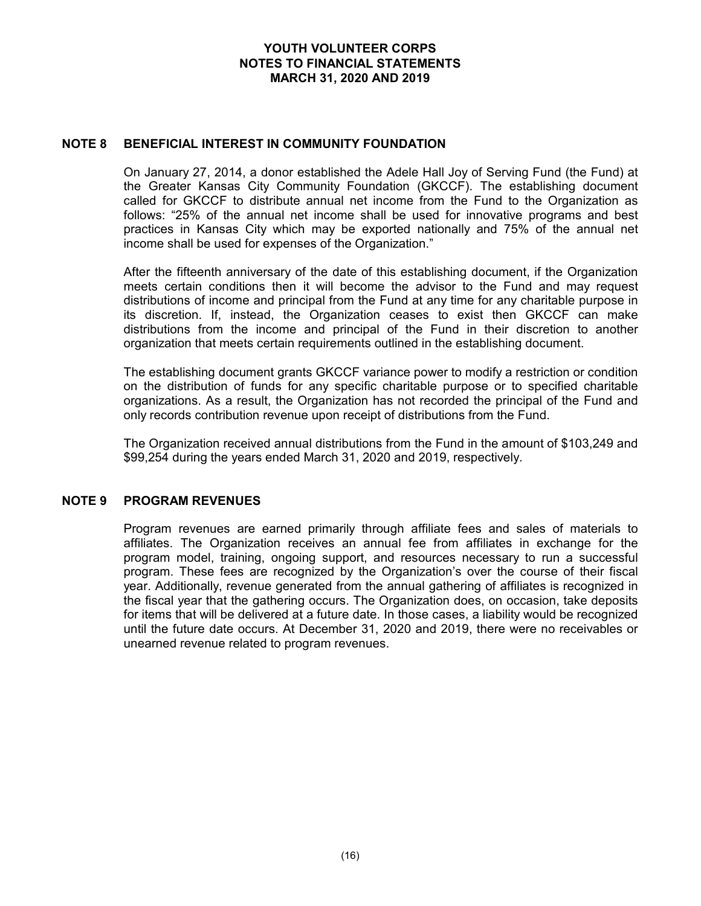## NOTE 8 BENEFICIAL INTEREST IN COMMUNITY FOUNDATION

On January 27, 2014, a donor established the Adele Hall Joy of Serving Fund (the Fund) at the Greater Kansas City Community Foundation (GKCCF). The establishing document called for GKCCF to distribute annual net income from the Fund to the Organization as follows: "25% of the annual net income shall be used for innovative programs and best practices in Kansas City which may be exported nationally and 75% of the annual net income shall be used for expenses of the Organization."

After the fifteenth anniversary of the date of this establishing document, if the Organization meets certain conditions then it will become the advisor to the Fund and may request distributions of income and principal from the Fund at any time for any charitable purpose in its discretion. If, instead, the Organization ceases to exist then GKCCF can make distributions from the income and principal of the Fund in their discretion to another organization that meets certain requirements outlined in the establishing document.

The establishing document grants GKCCF variance power to modify a restriction or condition on the distribution of funds for any specific charitable purpose or to specified charitable organizations. As a result, the Organization has not recorded the principal of the Fund and only records contribution revenue upon receipt of distributions from the Fund.

The Organization received annual distributions from the Fund in the amount of \$103,249 and \$99,254 during the years ended March 31, 2020 and 2019, respectively.

# NOTE 9 PROGRAM REVENUES

Program revenues are earned primarily through affiliate fees and sales of materials to affiliates. The Organization receives an annual fee from affiliates in exchange for the program model, training, ongoing support, and resources necessary to run a successful program. These fees are recognized by the Organization's over the course of their fiscal year. Additionally, revenue generated from the annual gathering of affiliates is recognized in the fiscal year that the gathering occurs. The Organization does, on occasion, take deposits for items that will be delivered at a future date. In those cases, a liability would be recognized until the future date occurs. At December 31, 2020 and 2019, there were no receivables or unearned revenue related to program revenues.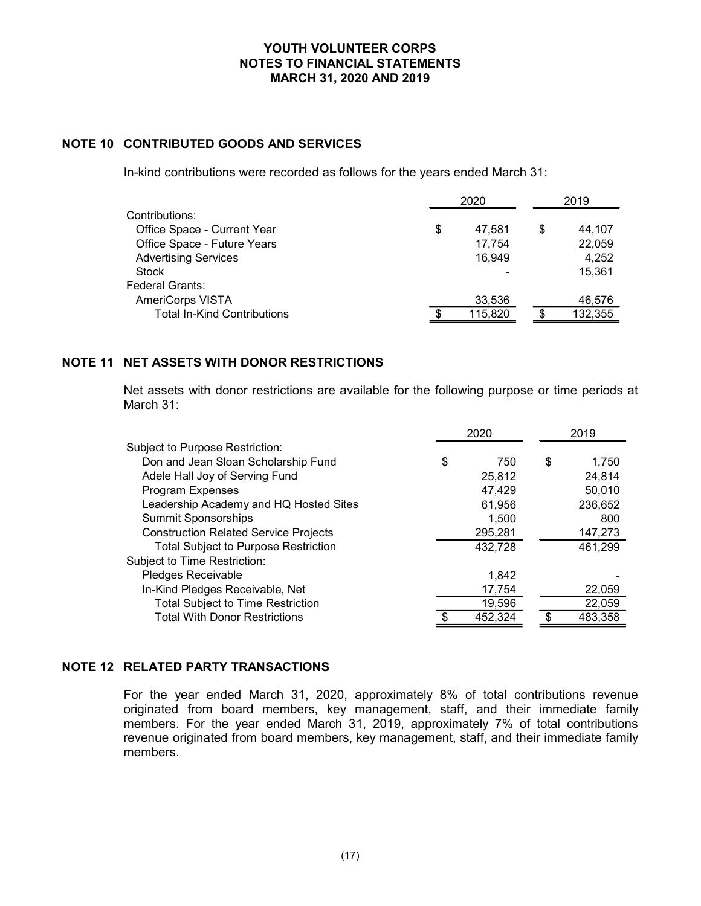# NOTE 10 CONTRIBUTED GOODS AND SERVICES

| YOUTH VOLUNTEER CORPS<br><b>NOTES TO FINANCIAL STATEMENTS</b><br>MARCH 31, 2020 AND 2019                                                                |                                  |                                           |
|---------------------------------------------------------------------------------------------------------------------------------------------------------|----------------------------------|-------------------------------------------|
| <b>CONTRIBUTED GOODS AND SERVICES</b>                                                                                                                   |                                  |                                           |
| n-kind contributions were recorded as follows for the years ended March 31:                                                                             |                                  |                                           |
|                                                                                                                                                         | 2020                             | 2019                                      |
| Contributions:<br>Office Space - Current Year<br>Office Space - Future Years<br><b>Advertising Services</b><br><b>Stock</b>                             | \$<br>47,581<br>17,754<br>16,949 | \$<br>44,107<br>22,059<br>4,252<br>15,361 |
| Federal Grants:<br>AmeriCorps VISTA<br><b>Total In-Kind Contributions</b>                                                                               | 33,536<br>115,820                | \$<br>46,576<br>132,355                   |
| <b>NET ASSETS WITH DONOR RESTRICTIONS</b><br>Net assets with donor restrictions are available for the following purpose or time periods at<br>March 31: |                                  |                                           |
|                                                                                                                                                         | 2020                             | 2019                                      |
| Subject to Purpose Restriction:<br>Don and Jean Sloan Scholarship Fund<br>Adele Hall Joy of Serving Fund<br>Program Expenses                            | \$<br>750<br>25,812<br>47,429    | \$<br>1,750<br>24,814<br>50,010           |

# NOTE 11 NET ASSETS WITH DONOR RESTRICTIONS

| Subject to Purpose Restriction:<br>Don and Jean Sloan Scholarship Fund<br>\$<br>750<br>S<br>1.750<br>Adele Hall Joy of Serving Fund<br>25,812<br>24.814<br>Program Expenses<br>47.429<br>50.010<br>Leadership Academy and HQ Hosted Sites<br>61,956<br>236,652<br><b>Summit Sponsorships</b><br>1.500<br>800 |
|--------------------------------------------------------------------------------------------------------------------------------------------------------------------------------------------------------------------------------------------------------------------------------------------------------------|
|                                                                                                                                                                                                                                                                                                              |
|                                                                                                                                                                                                                                                                                                              |
|                                                                                                                                                                                                                                                                                                              |
|                                                                                                                                                                                                                                                                                                              |
|                                                                                                                                                                                                                                                                                                              |
|                                                                                                                                                                                                                                                                                                              |
| <b>Construction Related Service Projects</b><br>295.281<br>147,273                                                                                                                                                                                                                                           |
| <b>Total Subject to Purpose Restriction</b><br>432,728<br>461,299                                                                                                                                                                                                                                            |
| Subject to Time Restriction:                                                                                                                                                                                                                                                                                 |
| Pledges Receivable<br>1,842                                                                                                                                                                                                                                                                                  |
| In-Kind Pledges Receivable, Net<br>17,754<br>22,059                                                                                                                                                                                                                                                          |
| <b>Total Subject to Time Restriction</b><br>19,596<br>22,059                                                                                                                                                                                                                                                 |
| <b>Total With Donor Restrictions</b><br>483,358<br>452,324                                                                                                                                                                                                                                                   |

#### NOTE 12 RELATED PARTY TRANSACTIONS

For the year ended March 31, 2020, approximately 8% of total contributions revenue originated from board members, key management, staff, and their immediate family members. For the year ended March 31, 2019, approximately 7% of total contributions revenue originated from board members, key management, staff, and their immediate family members.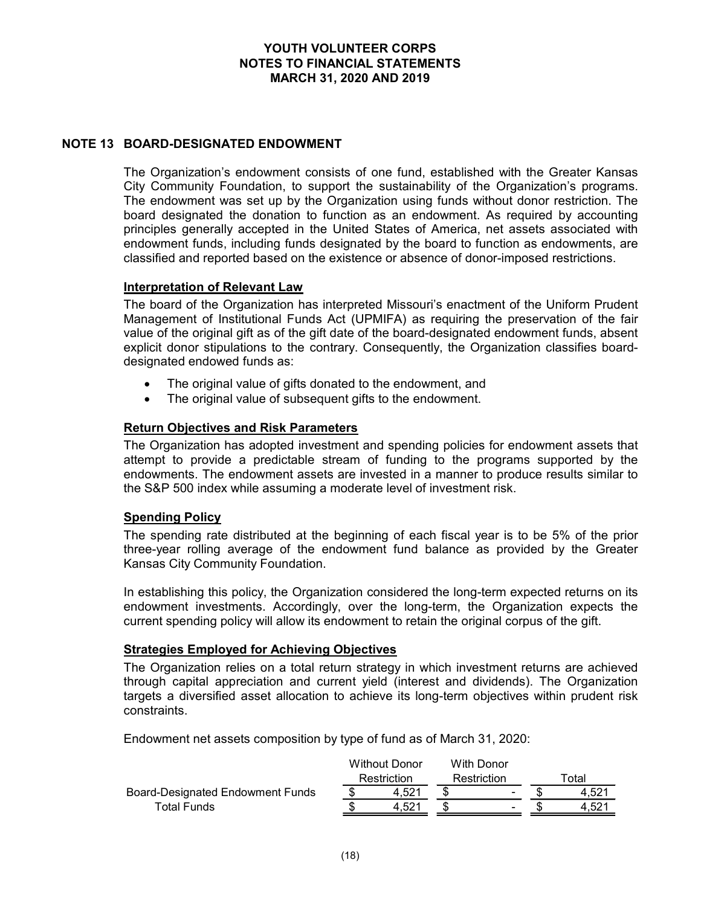# NOTE 13 BOARD-DESIGNATED ENDOWMENT

The Organization's endowment consists of one fund, established with the Greater Kansas City Community Foundation, to support the sustainability of the Organization's programs. The endowment was set up by the Organization using funds without donor restriction. The board designated the donation to function as an endowment. As required by accounting principles generally accepted in the United States of America, net assets associated with endowment funds, including funds designated by the board to function as endowments, are classified and reported based on the existence or absence of donor-imposed restrictions.

#### Interpretation of Relevant Law

The board of the Organization has interpreted Missouri's enactment of the Uniform Prudent Management of Institutional Funds Act (UPMIFA) as requiring the preservation of the fair value of the original gift as of the gift date of the board-designated endowment funds, absent explicit donor stipulations to the contrary. Consequently, the Organization classifies boarddesignated endowed funds as:

- The original value of gifts donated to the endowment, and
- The original value of subsequent gifts to the endowment.

# Return Objectives and Risk Parameters

The Organization has adopted investment and spending policies for endowment assets that attempt to provide a predictable stream of funding to the programs supported by the endowments. The endowment assets are invested in a manner to produce results similar to the S&P 500 index while assuming a moderate level of investment risk.

#### Spending Policy

The spending rate distributed at the beginning of each fiscal year is to be 5% of the prior three-year rolling average of the endowment fund balance as provided by the Greater Kansas City Community Foundation.

In establishing this policy, the Organization considered the long-term expected returns on its endowment investments. Accordingly, over the long-term, the Organization expects the current spending policy will allow its endowment to retain the original corpus of the gift.

#### Strategies Employed for Achieving Objectives

The Organization relies on a total return strategy in which investment returns are achieved through capital appreciation and current yield (interest and dividends). The Organization targets a diversified asset allocation to achieve its long-term objectives within prudent risk constraints. be invested in a manner to produce results similar to<br>derate level of investment risk.<br>ginning of each fiscal year is to be 5% of the prior<br>wiment fund balance as provided by the Greater<br>on considered the long-term expect Fraction Considered Transmission Total<br>
and the striction Transmission Restriction<br>
and the striction Restriction Considered Transmission Considered the long-term, the Organization expects the<br>
ment to retain the original **Spending Policy**<br>
The spending rate distributed at the beginning of each fiscal year is to be 5% of the prior<br>
three-year rolling average of the endowment fund balance as provided by the Greater<br>
Kansas City Community Fo **ding Policy**<br>
ediate Track at the beginning of each fiscal year is to be 5% of the prior<br>
pyear rolling average of the endowment fund balance as provided by the Greater<br>
as City Community Foundation.<br>
abilishing this pol

Endowment net assets composition by type of fund as of March 31, 2020:

|       |                                     |   |                           | Гоtal |
|-------|-------------------------------------|---|---------------------------|-------|
| 4.521 |                                     | - |                           | 4.521 |
|       |                                     | - |                           | 4.52  |
|       | <b>Without Donor</b><br>Restriction |   | With Donor<br>Restriction |       |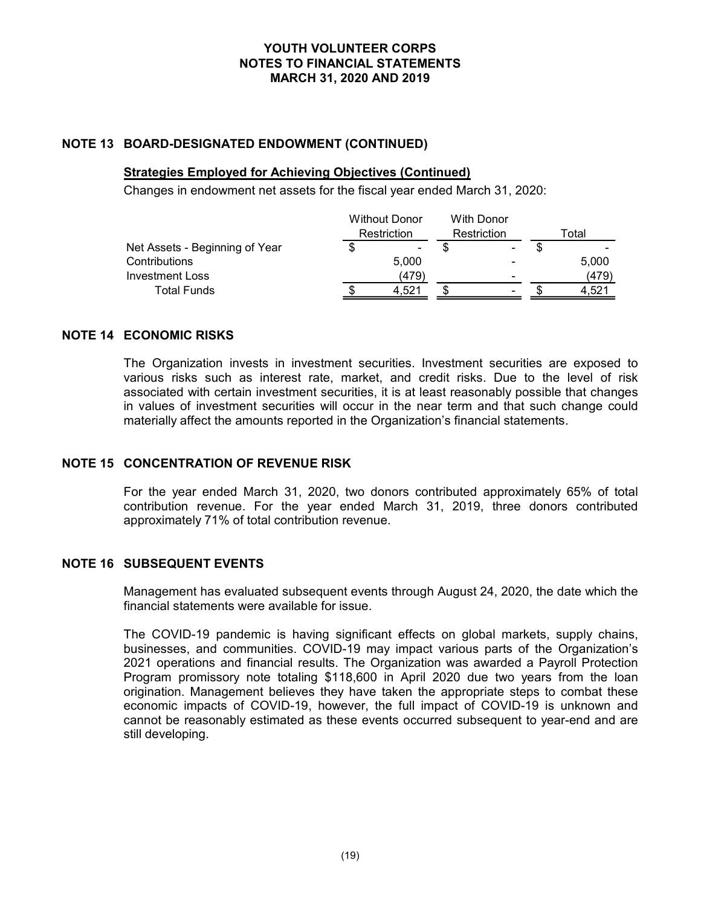# NOTE 13 BOARD-DESIGNATED ENDOWMENT (CONTINUED)

### Strategies Employed for Achieving Objectives (Continued)

| Changes in endowment net assets for the fiscal year ended March 31, 2020:<br><b>Without Donor</b><br><b>With Donor</b> | Total<br>Restriction<br>Restriction<br>$\boldsymbol{\mathsf{s}}$<br>$\boldsymbol{\mathsf{s}}$<br>Net Assets - Beginning of Year<br>\$ |                                                                                                                  | YOUTH VOLUNTEER CORPS<br><b>NOTES TO FINANCIAL STATEMENTS</b><br>MARCH 31, 2020 AND 2019 |       |  |       |
|------------------------------------------------------------------------------------------------------------------------|---------------------------------------------------------------------------------------------------------------------------------------|------------------------------------------------------------------------------------------------------------------|------------------------------------------------------------------------------------------|-------|--|-------|
|                                                                                                                        |                                                                                                                                       |                                                                                                                  |                                                                                          |       |  |       |
|                                                                                                                        |                                                                                                                                       | <b>BOARD-DESIGNATED ENDOWMENT (CONTINUED)</b><br><b>Strategies Employed for Achieving Objectives (Continued)</b> |                                                                                          |       |  |       |
| (479)<br><b>Investment Loss</b><br>(479)                                                                               |                                                                                                                                       | Contributions                                                                                                    |                                                                                          | 5,000 |  | 5,000 |

# NOTE 14 ECONOMIC RISKS

The Organization invests in investment securities. Investment securities are exposed to various risks such as interest rate, market, and credit risks. Due to the level of risk associated with certain investment securities, it is at least reasonably possible that changes in values of investment securities will occur in the near term and that such change could materially affect the amounts reported in the Organization's financial statements.

#### NOTE 15 CONCENTRATION OF REVENUE RISK

For the year ended March 31, 2020, two donors contributed approximately 65% of total contribution revenue. For the year ended March 31, 2019, three donors contributed approximately 71% of total contribution revenue.

# NOTE 16 SUBSEQUENT EVENTS

Management has evaluated subsequent events through August 24, 2020, the date which the financial statements were available for issue.

The COVID-19 pandemic is having significant effects on global markets, supply chains, businesses, and communities. COVID-19 may impact various parts of the Organization's 2021 operations and financial results. The Organization was awarded a Payroll Protection Program promissory note totaling \$118,600 in April 2020 due two years from the loan origination. Management believes they have taken the appropriate steps to combat these economic impacts of COVID-19, however, the full impact of COVID-19 is unknown and cannot be reasonably estimated as these events occurred subsequent to year-end and are still developing.